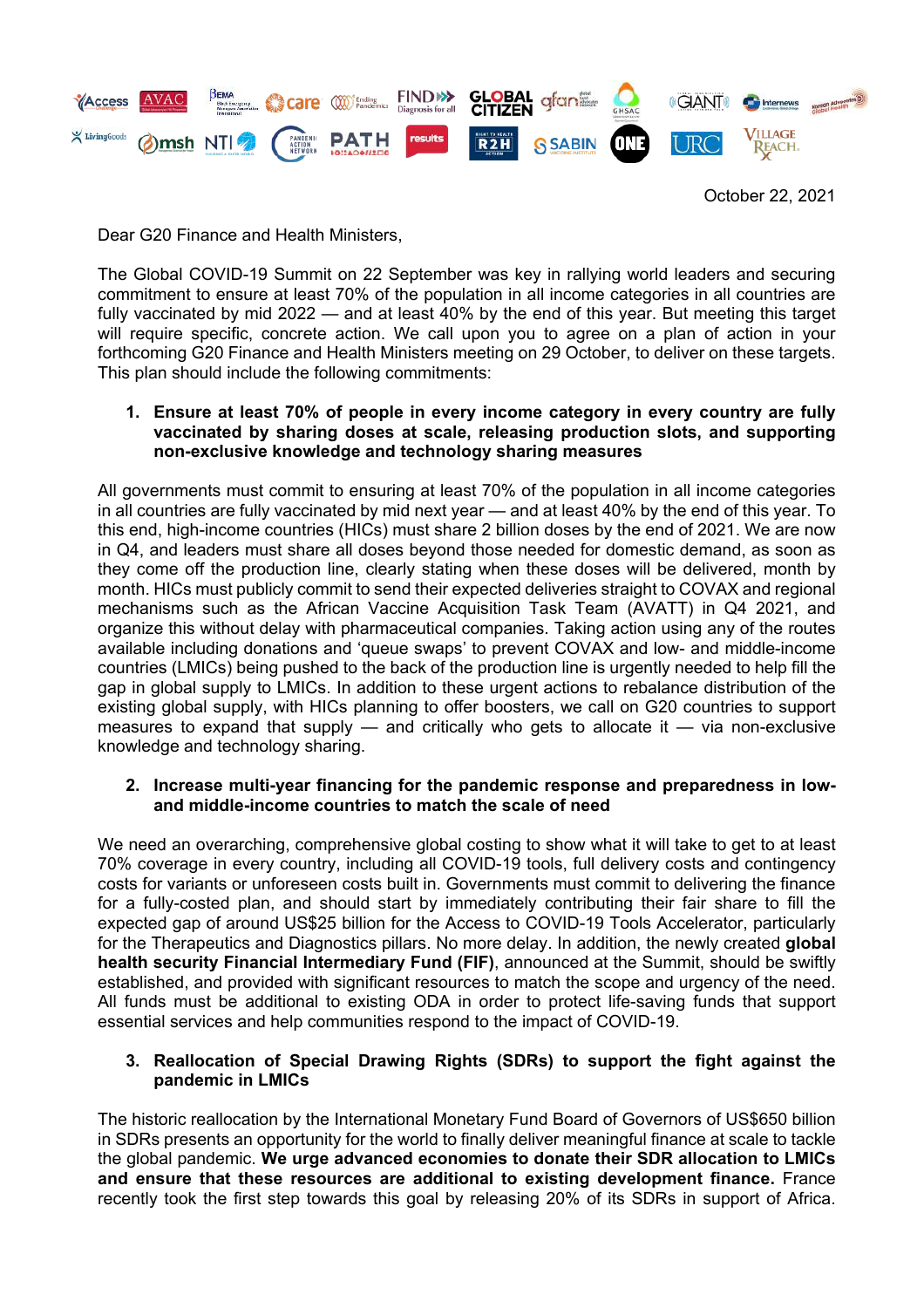

October 22, 2021

Dear G20 Finance and Health Ministers,

The Global COVID-19 Summit on 22 September was key in rallying world leaders and securing commitment to ensure at least 70% of the population in all income categories in all countries are fully vaccinated by mid 2022 — and at least 40% by the end of this year. But meeting this target will require specific, concrete action. We call upon you to agree on a plan of action in your forthcoming G20 Finance and Health Ministers meeting on 29 October, to deliver on these targets. This plan should include the following commitments:

## **1. Ensure at least 70% of people in every income category in every country are fully vaccinated by sharing doses at scale, releasing production slots, and supporting non-exclusive knowledge and technology sharing measures**

All governments must commit to ensuring at least 70% of the population in all income categories in all countries are fully vaccinated by mid next year — and at least 40% by the end of this year. To this end, high-income countries (HICs) must share 2 billion doses by the end of 2021. We are now in Q4, and leaders must share all doses beyond those needed for domestic demand, as soon as they come off the production line, clearly stating when these doses will be delivered, month by month. HICs must publicly commit to send their expected deliveries straight to COVAX and regional mechanisms such as the African Vaccine Acquisition Task Team (AVATT) in Q4 2021, and organize this without delay with pharmaceutical companies. Taking action using any of the routes available including donations and 'queue swaps' to prevent COVAX and low- and middle-income countries (LMICs) being pushed to the back of the production line is urgently needed to help fill the gap in global supply to LMICs. In addition to these urgent actions to rebalance distribution of the existing global supply, with HICs planning to offer boosters, we call on G20 countries to support measures to expand that supply — and critically who gets to allocate it — via non-exclusive knowledge and technology sharing.

## **2. Increase multi-year financing for the pandemic response and preparedness in lowand middle-income countries to match the scale of need**

We need an overarching, comprehensive global costing to show what it will take to get to at least 70% coverage in every country, including all COVID-19 tools, full delivery costs and contingency costs for variants or unforeseen costs built in. Governments must commit to delivering the finance for a fully-costed plan, and should start by immediately contributing their fair share to fill the expected gap of around US\$25 billion for the Access to COVID-19 Tools Accelerator, particularly for the Therapeutics and Diagnostics pillars. No more delay. In addition, the newly created **global health security Financial Intermediary Fund (FIF)**, announced at the Summit, should be swiftly established, and provided with significant resources to match the scope and urgency of the need. All funds must be additional to existing ODA in order to protect life-saving funds that support essential services and help communities respond to the impact of COVID-19.

## **3. Reallocation of Special Drawing Rights (SDRs) to support the fight against the pandemic in LMICs**

The historic reallocation by the International Monetary Fund Board of Governors of US\$650 billion in SDRs presents an opportunity for the world to finally deliver meaningful finance at scale to tackle the global pandemic. **We urge advanced economies to donate their SDR allocation to LMICs and ensure that these resources are additional to existing development finance.** France recently took the first step towards this goal by releasing 20% of its SDRs in support of Africa.